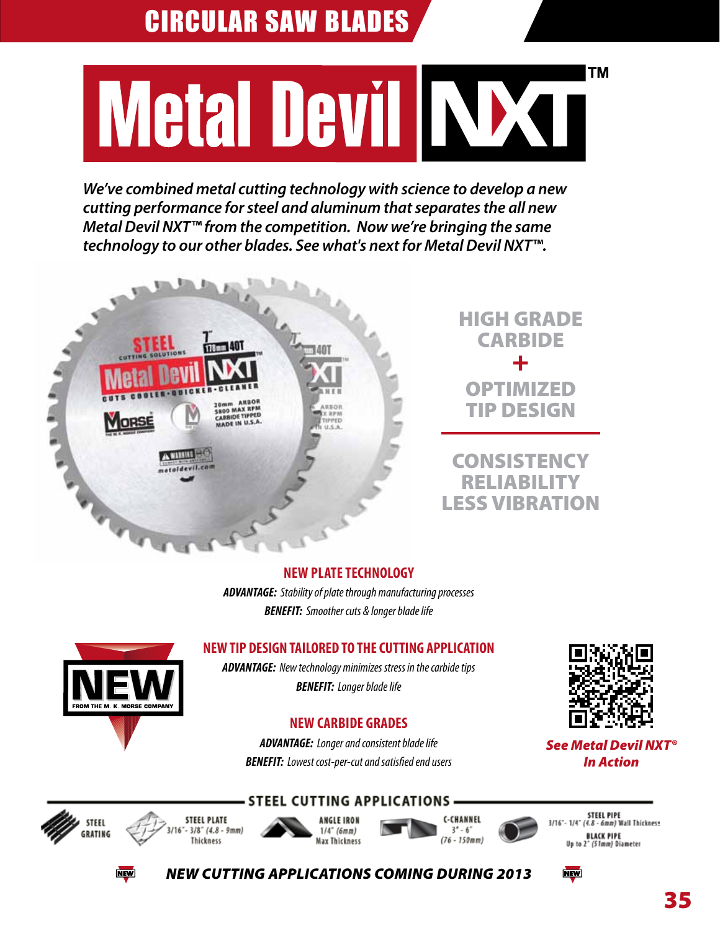# ΤM Metal Devil NXT

*We've combined metal cutting technology with science to develop a new cutting performance for steel and aluminum that separates the all new Metal Devil NXT™ from the competition. Now we're bringing the same technology to our other blades. See what's next for Metal Devil NXT™.*



#### **NEW PLATE TECHNOLOGY**

*ADVANTAGE: Stability of plate through manufacturing processes BENEFIT: Smoother cuts & longer blade life*

## **NEW TIP DESIGN TAILORED TO THE CUTTING APPLICATION**

*ADVANTAGE: New technology minimizes stress in the carbide tips BENEFIT: Longer blade life*

## **NEW CARBIDE GRADES**

*ADVANTAGE: Longer and consistent blade life BENEFIT: Lowest cost-per-cut and satisfied end users*

**STEEL CUTTING APPLICATIONS** 



*See Metal Devil NXT® In Action*



**STEEL PLATE** 







STEEL PIPE<br>3/16"- 1/4" (4.8 - 6mm) Wall Thickness BLACK PIPE<br>Up to 2° (51mm) Diameter

**NEW** 



 $-3/8$ <sup>-</sup> (4.8 - 9mm) Thickness





*NEW CUTTING APPLICATIONS COMING DURING 2013*